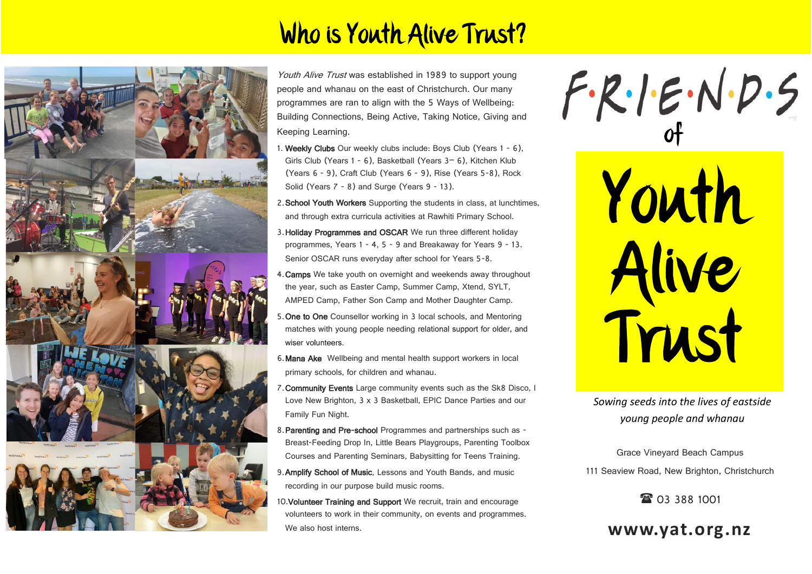## Who is Youth Alive Trust?



Youth Alive Trust was established in 1989 to support young people and whanau on the east of Christchurch. Our many programmes are ran to align with the 5 Ways of Wellbeing: Building Connections, Being Active, Taking Notice, Giving and Keeping Learning.

- 1. Weekly Clubs Our weekly clubs include: Boys Club (Years 1 6), Girls Club (Years 1 - 6), Basketball (Years 3– 6), Kitchen Klub (Years 6 - 9), Craft Club (Years 6 - 9), Rise (Years 5-8), Rock Solid (Years 7 - 8) and Surge (Years 9 - 13).
- 2. School Youth Workers Supporting the students in class, at lunchtimes, and through extra curricula activities at Rawhiti Primary School.
- 3.Holiday Programmes and OSCAR We run three different holiday programmes, Years 1 - 4, 5 - 9 and Breakaway for Years 9 - 13. Senior OSCAR runs everyday after school for Years 5-8.
- . Camps We take youth on overnight and weekends away throughout the year, such as Easter Camp, Summer Camp, Xtend, SYLT, AMPED Camp, Father Son Camp and Mother Daughter Camp.
- 5. One to One Counsellor working in 3 local schools, and Mentoring matches with young people needing relational support for older, and wiser volunteers
- 6.Mana Ake Wellbeing and mental health support workers in local primary schools, for children and whanau.
- 7.Community Events Large community events such as the Sk8 Disco, I Love New Brighton, 3 x 3 Basketball, EPIC Dance Parties and our Family Fun Night.
- 8. Parenting and Pre-school Programmes and partnerships such as -Breast-Feeding Drop In, Little Bears Playgroups, Parenting Toolbox Courses and Parenting Seminars, Babysitting for Teens Training.
- 9. Amplify School of Music, Lessons and Youth Bands, and music recording in our purpose build music rooms.
- 10. Volunteer Training and Support We recruit, train and encourage volunteers to work in their community, on events and programmes. We also host interns.

of

Youth Alive Trust

*Sowing seeds into the lives of eastside young people and whanau*

Grace Vineyard Beach Campus 111 Seaview Road, New Brighton, Christchurch

<sup>3</sup> 03 388 1001

**www.yat.org.nz**